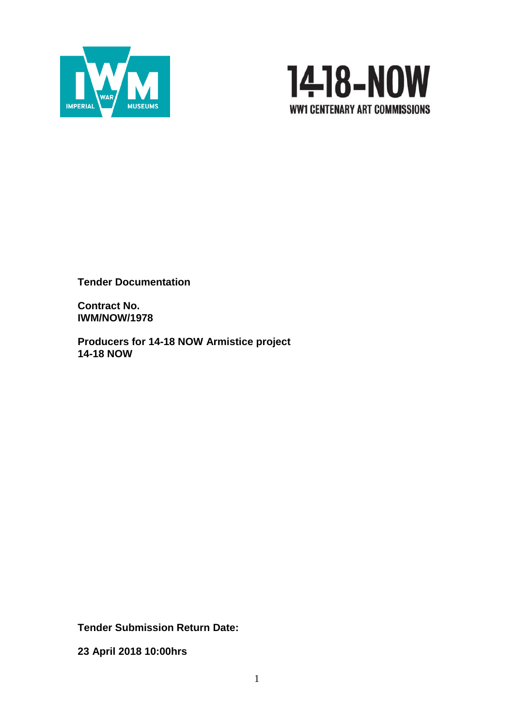



**Tender Documentation**

**Contract No. IWM/NOW/1978**

**Producers for 14-18 NOW Armistice project 14-18 NOW** 

**Tender Submission Return Date:**

**23 April 2018 10:00hrs**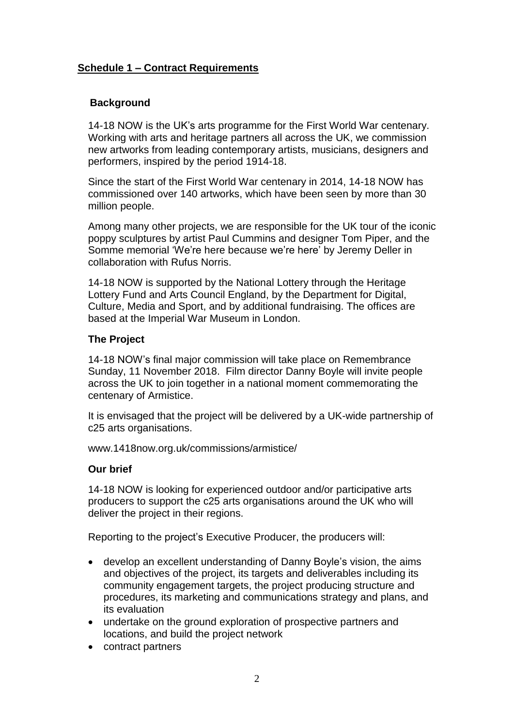# **Schedule 1 – Contract Requirements**

# **Background**

14-18 NOW is the UK's arts programme for the First World War centenary. Working with arts and heritage partners all across the UK, we commission new artworks from leading contemporary artists, musicians, designers and performers, inspired by the period 1914-18.

Since the start of the First World War centenary in 2014, 14-18 NOW has commissioned over 140 artworks, which have been seen by more than 30 million people.

Among many other projects, we are responsible for the UK tour of the iconic poppy sculptures by artist Paul Cummins and designer Tom Piper, and the Somme memorial 'We're here because we're here' by Jeremy Deller in collaboration with Rufus Norris.

14-18 NOW is supported by the National Lottery through the Heritage Lottery Fund and Arts Council England, by the Department for Digital, Culture, Media and Sport, and by additional fundraising. The offices are based at the Imperial War Museum in London.

# **The Project**

14-18 NOW's final major commission will take place on Remembrance Sunday, 11 November 2018. Film director Danny Boyle will invite people across the UK to join together in a national moment commemorating the centenary of Armistice.

It is envisaged that the project will be delivered by a UK-wide partnership of c25 arts organisations.

www.1418now.org.uk/commissions/armistice/

# **Our brief**

14-18 NOW is looking for experienced outdoor and/or participative arts producers to support the c25 arts organisations around the UK who will deliver the project in their regions.

Reporting to the project's Executive Producer, the producers will:

- develop an excellent understanding of Danny Boyle's vision, the aims and objectives of the project, its targets and deliverables including its community engagement targets, the project producing structure and procedures, its marketing and communications strategy and plans, and its evaluation
- undertake on the ground exploration of prospective partners and locations, and build the project network
- contract partners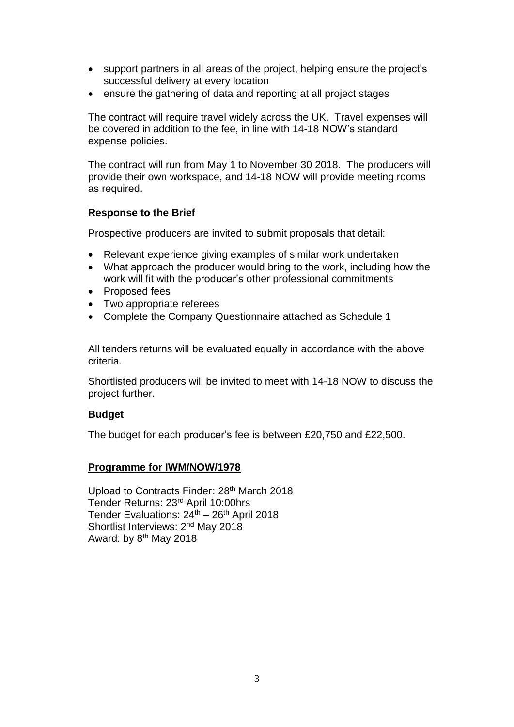- support partners in all areas of the project, helping ensure the project's successful delivery at every location
- ensure the gathering of data and reporting at all project stages

The contract will require travel widely across the UK. Travel expenses will be covered in addition to the fee, in line with 14-18 NOW's standard expense policies.

The contract will run from May 1 to November 30 2018. The producers will provide their own workspace, and 14-18 NOW will provide meeting rooms as required.

# **Response to the Brief**

Prospective producers are invited to submit proposals that detail:

- Relevant experience giving examples of similar work undertaken
- What approach the producer would bring to the work, including how the work will fit with the producer's other professional commitments
- Proposed fees
- Two appropriate referees
- Complete the Company Questionnaire attached as Schedule 1

All tenders returns will be evaluated equally in accordance with the above criteria.

Shortlisted producers will be invited to meet with 14-18 NOW to discuss the project further.

# **Budget**

The budget for each producer's fee is between £20,750 and £22,500.

# **Programme for IWM/NOW/1978**

Upload to Contracts Finder: 28<sup>th</sup> March 2018 Tender Returns: 23rd April 10:00hrs Tender Evaluations:  $24<sup>th</sup> - 26<sup>th</sup>$  April 2018 Shortlist Interviews: 2nd May 2018 Award: by 8<sup>th</sup> May 2018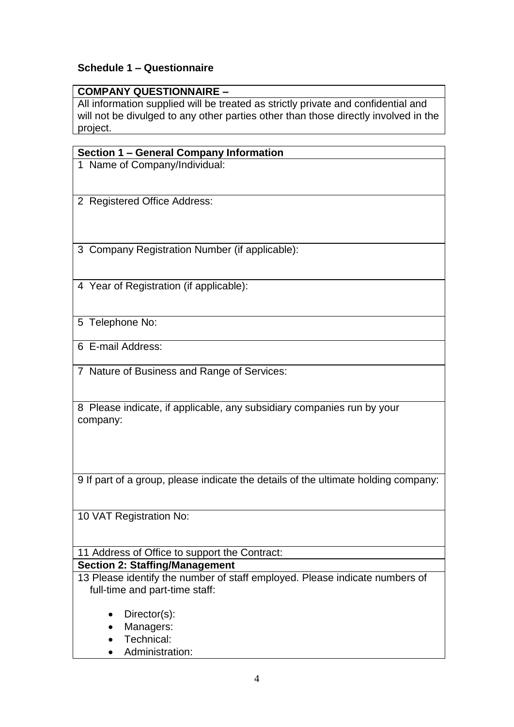# **Schedule 1 – Questionnaire**

# **COMPANY QUESTIONNAIRE –**

All information supplied will be treated as strictly private and confidential and will not be divulged to any other parties other than those directly involved in the project.

# **Section 1 – General Company Information**

1 Name of Company/Individual:

2 Registered Office Address:

3 Company Registration Number (if applicable):

4 Year of Registration (if applicable):

5 Telephone No:

6 E-mail Address:

7 Nature of Business and Range of Services:

8 Please indicate, if applicable, any subsidiary companies run by your company:

9 If part of a group, please indicate the details of the ultimate holding company:

10 VAT Registration No:

# 11 Address of Office to support the Contract:

# **Section 2: Staffing/Management**

13 Please identify the number of staff employed. Please indicate numbers of full-time and part-time staff:

- Director(s):
- Managers:
- **•** Technical:
- Administration: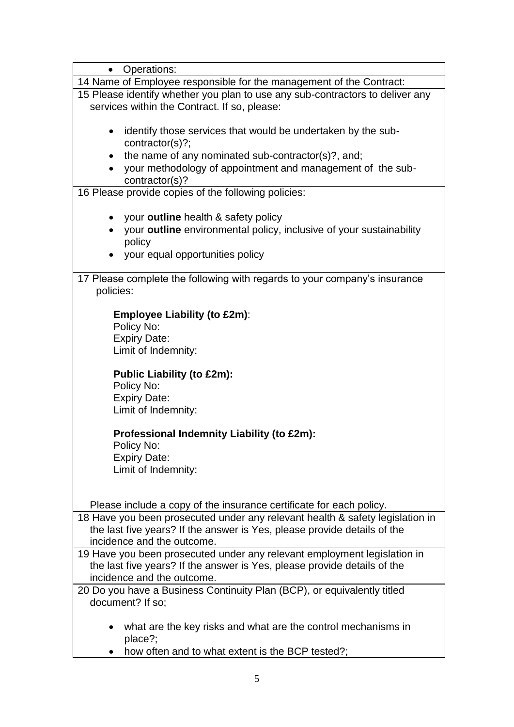| <b>Operations:</b><br>$\bullet$                                               |
|-------------------------------------------------------------------------------|
| 14 Name of Employee responsible for the management of the Contract:           |
| 15 Please identify whether you plan to use any sub-contractors to deliver any |
| services within the Contract. If so, please:                                  |
|                                                                               |
| identify those services that would be undertaken by the sub-<br>$\bullet$     |
| contractor(s)?                                                                |
| the name of any nominated sub-contractor(s)?, and;<br>$\bullet$               |
| your methodology of appointment and management of the sub-                    |
| contractor(s)?                                                                |
| 16 Please provide copies of the following policies:                           |
|                                                                               |
| your outline health & safety policy                                           |
| your outline environmental policy, inclusive of your sustainability           |
| policy                                                                        |
| your equal opportunities policy                                               |
|                                                                               |
| 17 Please complete the following with regards to your company's insurance     |
| policies:                                                                     |
|                                                                               |
| <b>Employee Liability (to £2m):</b>                                           |
| Policy No:                                                                    |
| <b>Expiry Date:</b>                                                           |
| Limit of Indemnity:                                                           |
|                                                                               |
| <b>Public Liability (to £2m):</b>                                             |
| Policy No:                                                                    |
| <b>Expiry Date:</b>                                                           |
| Limit of Indemnity:                                                           |
| Professional Indemnity Liability (to £2m):                                    |
|                                                                               |
| Policy No:                                                                    |
| <b>Expiry Date:</b>                                                           |
| Limit of Indemnity:                                                           |
|                                                                               |
| Please include a copy of the insurance certificate for each policy.           |
| 18 Have you been prosecuted under any relevant health & safety legislation in |
| the last five years? If the answer is Yes, please provide details of the      |
| incidence and the outcome.                                                    |
| 19 Have you been prosecuted under any relevant employment legislation in      |
| the last five years? If the answer is Yes, please provide details of the      |
| incidence and the outcome.                                                    |
| 20 Do you have a Business Continuity Plan (BCP), or equivalently titled       |
| document? If so;                                                              |
|                                                                               |
| what are the key risks and what are the control mechanisms in                 |
| place?;                                                                       |
| how often and to what extent is the BCP tested?;                              |
|                                                                               |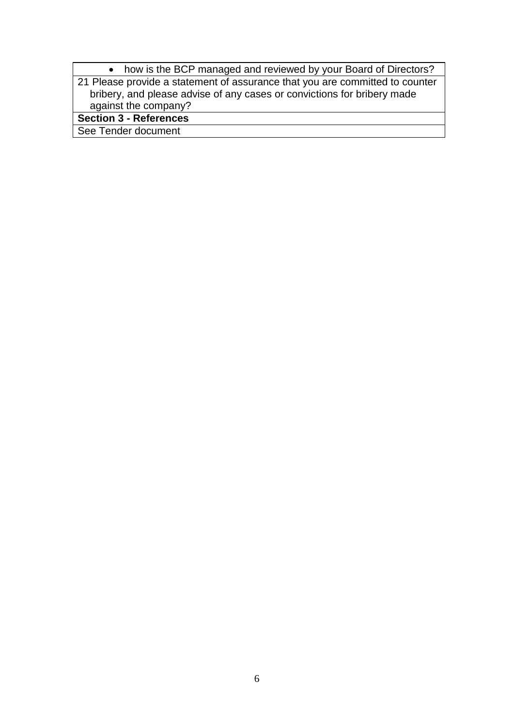| • how is the BCP managed and reviewed by your Board of Directors?            |
|------------------------------------------------------------------------------|
| 21 Please provide a statement of assurance that you are committed to counter |
| bribery, and please advise of any cases or convictions for bribery made      |
| against the company?                                                         |
| <b>Section 3 - References</b>                                                |
| See Tender document                                                          |

6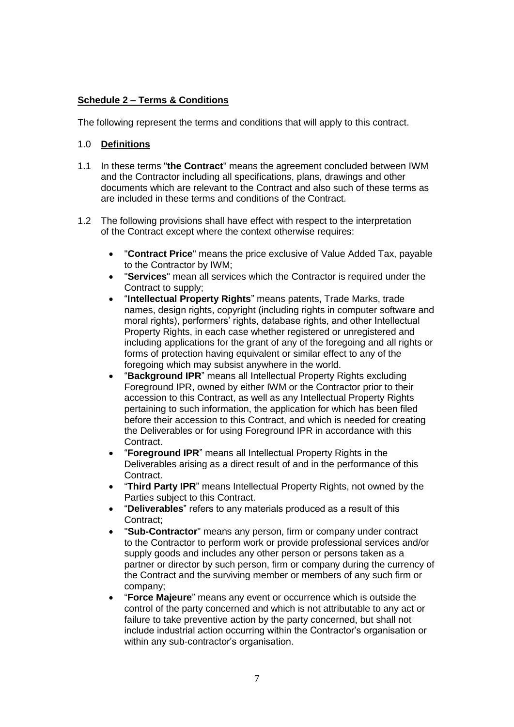### **Schedule 2 – Terms & Conditions**

The following represent the terms and conditions that will apply to this contract.

### 1.0 **Definitions**

- 1.1 In these terms "**the Contract**" means the agreement concluded between IWM and the Contractor including all specifications, plans, drawings and other documents which are relevant to the Contract and also such of these terms as are included in these terms and conditions of the Contract.
- 1.2 The following provisions shall have effect with respect to the interpretation of the Contract except where the context otherwise requires:
	- "**Contract Price**" means the price exclusive of Value Added Tax, payable to the Contractor by IWM;
	- "**Services**" mean all services which the Contractor is required under the Contract to supply;
	- "**Intellectual Property Rights**" means patents, Trade Marks, trade names, design rights, copyright (including rights in computer software and moral rights), performers' rights, database rights, and other Intellectual Property Rights, in each case whether registered or unregistered and including applications for the grant of any of the foregoing and all rights or forms of protection having equivalent or similar effect to any of the foregoing which may subsist anywhere in the world.
	- "**Background IPR**" means all Intellectual Property Rights excluding Foreground IPR, owned by either IWM or the Contractor prior to their accession to this Contract, as well as any Intellectual Property Rights pertaining to such information, the application for which has been filed before their accession to this Contract, and which is needed for creating the Deliverables or for using Foreground IPR in accordance with this **Contract**
	- "**Foreground IPR**" means all Intellectual Property Rights in the Deliverables arising as a direct result of and in the performance of this Contract.
	- "**Third Party IPR**" means Intellectual Property Rights, not owned by the Parties subject to this Contract.
	- "**Deliverables**" refers to any materials produced as a result of this Contract;
	- "**Sub-Contractor**" means any person, firm or company under contract to the Contractor to perform work or provide professional services and/or supply goods and includes any other person or persons taken as a partner or director by such person, firm or company during the currency of the Contract and the surviving member or members of any such firm or company;
	- "**Force Majeure**" means any event or occurrence which is outside the control of the party concerned and which is not attributable to any act or failure to take preventive action by the party concerned, but shall not include industrial action occurring within the Contractor's organisation or within any sub-contractor's organisation.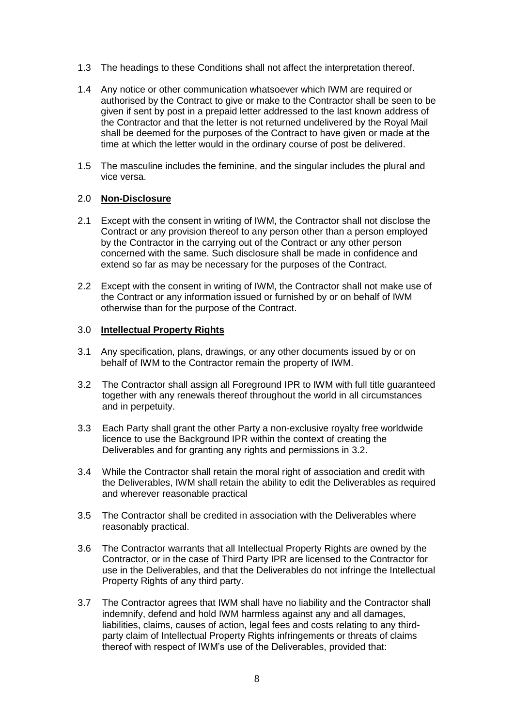- 1.3 The headings to these Conditions shall not affect the interpretation thereof.
- 1.4 Any notice or other communication whatsoever which IWM are required or authorised by the Contract to give or make to the Contractor shall be seen to be given if sent by post in a prepaid letter addressed to the last known address of the Contractor and that the letter is not returned undelivered by the Royal Mail shall be deemed for the purposes of the Contract to have given or made at the time at which the letter would in the ordinary course of post be delivered.
- 1.5 The masculine includes the feminine, and the singular includes the plural and vice versa.

#### 2.0 **Non-Disclosure**

- 2.1 Except with the consent in writing of IWM, the Contractor shall not disclose the Contract or any provision thereof to any person other than a person employed by the Contractor in the carrying out of the Contract or any other person concerned with the same. Such disclosure shall be made in confidence and extend so far as may be necessary for the purposes of the Contract.
- 2.2 Except with the consent in writing of IWM, the Contractor shall not make use of the Contract or any information issued or furnished by or on behalf of IWM otherwise than for the purpose of the Contract.

#### 3.0 **Intellectual Property Rights**

- 3.1 Any specification, plans, drawings, or any other documents issued by or on behalf of IWM to the Contractor remain the property of IWM.
- 3.2 The Contractor shall assign all Foreground IPR to IWM with full title guaranteed together with any renewals thereof throughout the world in all circumstances and in perpetuity.
- 3.3 Each Party shall grant the other Party a non-exclusive royalty free worldwide licence to use the Background IPR within the context of creating the Deliverables and for granting any rights and permissions in 3.2.
- 3.4 While the Contractor shall retain the moral right of association and credit with the Deliverables, IWM shall retain the ability to edit the Deliverables as required and wherever reasonable practical
- 3.5 The Contractor shall be credited in association with the Deliverables where reasonably practical.
- 3.6 The Contractor warrants that all Intellectual Property Rights are owned by the Contractor, or in the case of Third Party IPR are licensed to the Contractor for use in the Deliverables, and that the Deliverables do not infringe the Intellectual Property Rights of any third party.
- 3.7 The Contractor agrees that IWM shall have no liability and the Contractor shall indemnify, defend and hold IWM harmless against any and all damages, liabilities, claims, causes of action, legal fees and costs relating to any thirdparty claim of Intellectual Property Rights infringements or threats of claims thereof with respect of IWM's use of the Deliverables, provided that: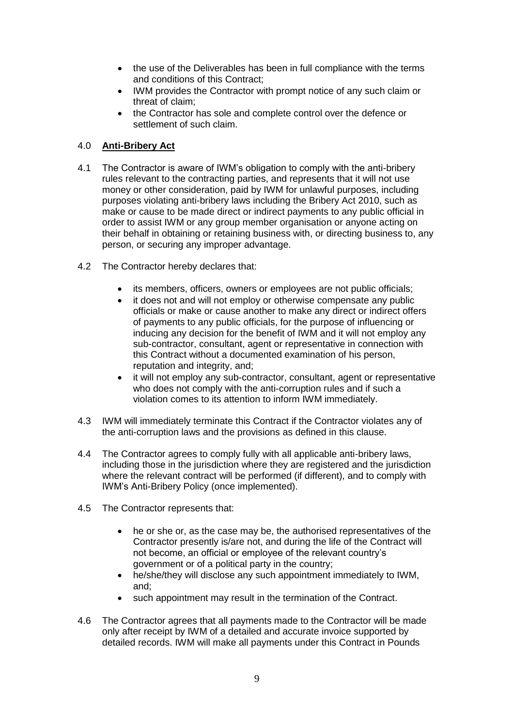- the use of the Deliverables has been in full compliance with the terms and conditions of this Contract;
- IWM provides the Contractor with prompt notice of any such claim or threat of claim;
- the Contractor has sole and complete control over the defence or settlement of such claim.

### 4.0 **Anti-Bribery Act**

- 4.1 The Contractor is aware of IWM's obligation to comply with the anti-bribery rules relevant to the contracting parties, and represents that it will not use money or other consideration, paid by IWM for unlawful purposes, including purposes violating anti-bribery laws including the Bribery Act 2010, such as make or cause to be made direct or indirect payments to any public official in order to assist IWM or any group member organisation or anyone acting on their behalf in obtaining or retaining business with, or directing business to, any person, or securing any improper advantage.
- 4.2 The Contractor hereby declares that:
	- its members, officers, owners or employees are not public officials;
	- it does not and will not employ or otherwise compensate any public officials or make or cause another to make any direct or indirect offers of payments to any public officials, for the purpose of influencing or inducing any decision for the benefit of IWM and it will not employ any sub-contractor, consultant, agent or representative in connection with this Contract without a documented examination of his person, reputation and integrity, and;
	- it will not employ any sub-contractor, consultant, agent or representative who does not comply with the anti-corruption rules and if such a violation comes to its attention to inform IWM immediately.
- 4.3 IWM will immediately terminate this Contract if the Contractor violates any of the anti-corruption laws and the provisions as defined in this clause.
- 4.4 The Contractor agrees to comply fully with all applicable anti-bribery laws, including those in the jurisdiction where they are registered and the jurisdiction where the relevant contract will be performed (if different), and to comply with IWM's Anti-Bribery Policy (once implemented).
- 4.5 The Contractor represents that:
	- he or she or, as the case may be, the authorised representatives of the Contractor presently is/are not, and during the life of the Contract will not become, an official or employee of the relevant country's government or of a political party in the country;
	- he/she/they will disclose any such appointment immediately to IWM, and;
	- such appointment may result in the termination of the Contract.
- 4.6 The Contractor agrees that all payments made to the Contractor will be made only after receipt by IWM of a detailed and accurate invoice supported by detailed records. IWM will make all payments under this Contract in Pounds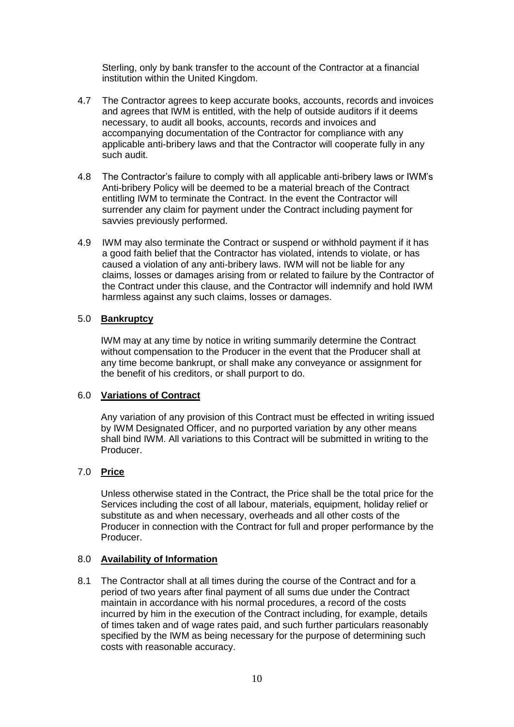Sterling, only by bank transfer to the account of the Contractor at a financial institution within the United Kingdom.

- 4.7 The Contractor agrees to keep accurate books, accounts, records and invoices and agrees that IWM is entitled, with the help of outside auditors if it deems necessary, to audit all books, accounts, records and invoices and accompanying documentation of the Contractor for compliance with any applicable anti-bribery laws and that the Contractor will cooperate fully in any such audit.
- 4.8 The Contractor's failure to comply with all applicable anti-bribery laws or IWM's Anti-bribery Policy will be deemed to be a material breach of the Contract entitling IWM to terminate the Contract. In the event the Contractor will surrender any claim for payment under the Contract including payment for savvies previously performed.
- 4.9 IWM may also terminate the Contract or suspend or withhold payment if it has a good faith belief that the Contractor has violated, intends to violate, or has caused a violation of any anti-bribery laws. IWM will not be liable for any claims, losses or damages arising from or related to failure by the Contractor of the Contract under this clause, and the Contractor will indemnify and hold IWM harmless against any such claims, losses or damages.

#### 5.0 **Bankruptcy**

IWM may at any time by notice in writing summarily determine the Contract without compensation to the Producer in the event that the Producer shall at any time become bankrupt, or shall make any conveyance or assignment for the benefit of his creditors, or shall purport to do.

#### 6.0 **Variations of Contract**

Any variation of any provision of this Contract must be effected in writing issued by IWM Designated Officer, and no purported variation by any other means shall bind IWM. All variations to this Contract will be submitted in writing to the Producer.

### 7.0 **Price**

Unless otherwise stated in the Contract, the Price shall be the total price for the Services including the cost of all labour, materials, equipment, holiday relief or substitute as and when necessary, overheads and all other costs of the Producer in connection with the Contract for full and proper performance by the Producer.

#### 8.0 **Availability of Information**

8.1 The Contractor shall at all times during the course of the Contract and for a period of two years after final payment of all sums due under the Contract maintain in accordance with his normal procedures, a record of the costs incurred by him in the execution of the Contract including, for example, details of times taken and of wage rates paid, and such further particulars reasonably specified by the IWM as being necessary for the purpose of determining such costs with reasonable accuracy.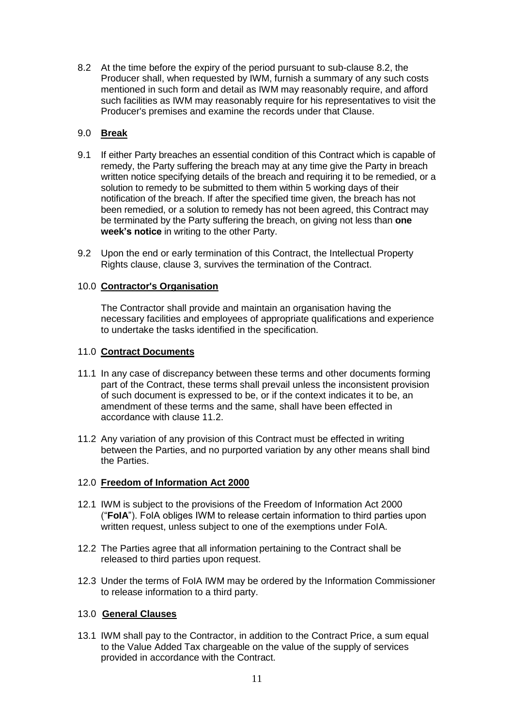8.2 At the time before the expiry of the period pursuant to sub-clause 8.2, the Producer shall, when requested by IWM, furnish a summary of any such costs mentioned in such form and detail as IWM may reasonably require, and afford such facilities as IWM may reasonably require for his representatives to visit the Producer's premises and examine the records under that Clause.

### 9.0 **Break**

- 9.1 If either Party breaches an essential condition of this Contract which is capable of remedy, the Party suffering the breach may at any time give the Party in breach written notice specifying details of the breach and requiring it to be remedied, or a solution to remedy to be submitted to them within 5 working days of their notification of the breach. If after the specified time given, the breach has not been remedied, or a solution to remedy has not been agreed, this Contract may be terminated by the Party suffering the breach, on giving not less than **one week's notice** in writing to the other Party.
- 9.2 Upon the end or early termination of this Contract, the Intellectual Property Rights clause, clause 3, survives the termination of the Contract.

### 10.0 **Contractor's Organisation**

The Contractor shall provide and maintain an organisation having the necessary facilities and employees of appropriate qualifications and experience to undertake the tasks identified in the specification.

### 11.0 **Contract Documents**

- 11.1 In any case of discrepancy between these terms and other documents forming part of the Contract, these terms shall prevail unless the inconsistent provision of such document is expressed to be, or if the context indicates it to be, an amendment of these terms and the same, shall have been effected in accordance with clause 11.2.
- 11.2 Any variation of any provision of this Contract must be effected in writing between the Parties, and no purported variation by any other means shall bind the Parties.

### 12.0 **Freedom of Information Act 2000**

- 12.1 IWM is subject to the provisions of the Freedom of Information Act 2000 ("**FoIA**"). FoIA obliges IWM to release certain information to third parties upon written request, unless subject to one of the exemptions under FoIA.
- 12.2 The Parties agree that all information pertaining to the Contract shall be released to third parties upon request.
- 12.3 Under the terms of FoIA IWM may be ordered by the Information Commissioner to release information to a third party.

### 13.0 **General Clauses**

13.1 IWM shall pay to the Contractor, in addition to the Contract Price, a sum equal to the Value Added Tax chargeable on the value of the supply of services provided in accordance with the Contract.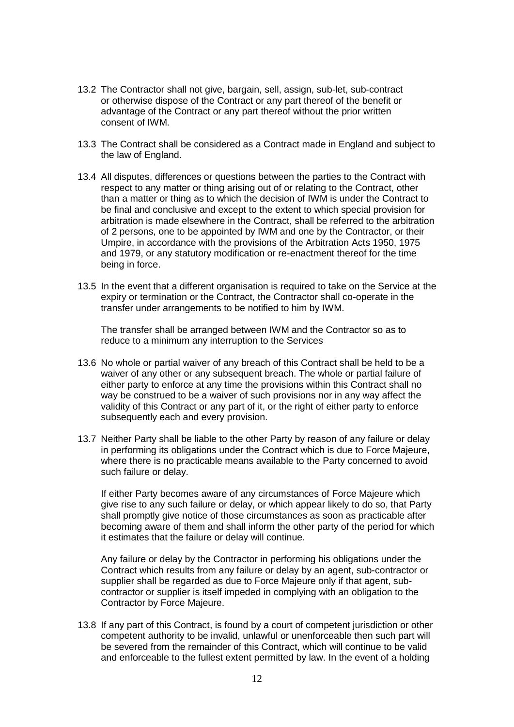- 13.2 The Contractor shall not give, bargain, sell, assign, sub-let, sub-contract or otherwise dispose of the Contract or any part thereof of the benefit or advantage of the Contract or any part thereof without the prior written consent of IWM.
- 13.3 The Contract shall be considered as a Contract made in England and subject to the law of England.
- 13.4 All disputes, differences or questions between the parties to the Contract with respect to any matter or thing arising out of or relating to the Contract, other than a matter or thing as to which the decision of IWM is under the Contract to be final and conclusive and except to the extent to which special provision for arbitration is made elsewhere in the Contract, shall be referred to the arbitration of 2 persons, one to be appointed by IWM and one by the Contractor, or their Umpire, in accordance with the provisions of the Arbitration Acts 1950, 1975 and 1979, or any statutory modification or re-enactment thereof for the time being in force.
- 13.5 In the event that a different organisation is required to take on the Service at the expiry or termination or the Contract, the Contractor shall co-operate in the transfer under arrangements to be notified to him by IWM.

The transfer shall be arranged between IWM and the Contractor so as to reduce to a minimum any interruption to the Services

- 13.6 No whole or partial waiver of any breach of this Contract shall be held to be a waiver of any other or any subsequent breach. The whole or partial failure of either party to enforce at any time the provisions within this Contract shall no way be construed to be a waiver of such provisions nor in any way affect the validity of this Contract or any part of it, or the right of either party to enforce subsequently each and every provision.
- 13.7 Neither Party shall be liable to the other Party by reason of any failure or delay in performing its obligations under the Contract which is due to Force Majeure, where there is no practicable means available to the Party concerned to avoid such failure or delay.

If either Party becomes aware of any circumstances of Force Majeure which give rise to any such failure or delay, or which appear likely to do so, that Party shall promptly give notice of those circumstances as soon as practicable after becoming aware of them and shall inform the other party of the period for which it estimates that the failure or delay will continue.

Any failure or delay by the Contractor in performing his obligations under the Contract which results from any failure or delay by an agent, sub-contractor or supplier shall be regarded as due to Force Majeure only if that agent, subcontractor or supplier is itself impeded in complying with an obligation to the Contractor by Force Majeure.

13.8 If any part of this Contract, is found by a court of competent jurisdiction or other competent authority to be invalid, unlawful or unenforceable then such part will be severed from the remainder of this Contract, which will continue to be valid and enforceable to the fullest extent permitted by law. In the event of a holding